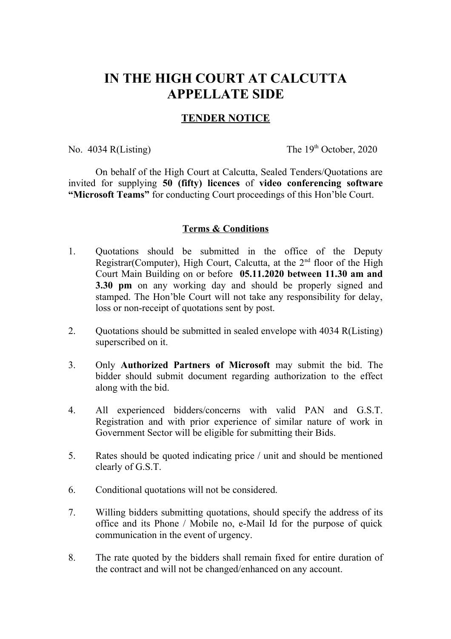## **IN THE HIGH COURT AT CALCUTTA APPELLATE SIDE**

## **TENDER NOTICE**

No.  $4034$  R(Listing) The  $19<sup>th</sup>$  October, 2020

On behalf of the High Court at Calcutta, Sealed Tenders/Quotations are invited for supplying **50 (fifty) licences** of **video conferencing software "Microsoft Teams"** for conducting Court proceedings of this Hon'ble Court.

## **Terms & Conditions**

- 1. Quotations should be submitted in the office of the Deputy Registrar(Computer), High Court, Calcutta, at the  $2<sup>nd</sup>$  floor of the High Court Main Building on or before **05.11.2020 between 11.30 am and 3.30 pm** on any working day and should be properly signed and stamped. The Hon'ble Court will not take any responsibility for delay, loss or non-receipt of quotations sent by post.
- 2. Quotations should be submitted in sealed envelope with 4034 R(Listing) superscribed on it.
- 3. Only **Authorized Partners of Microsoft** may submit the bid. The bidder should submit document regarding authorization to the effect along with the bid.
- 4. All experienced bidders/concerns with valid PAN and G.S.T. Registration and with prior experience of similar nature of work in Government Sector will be eligible for submitting their Bids.
- 5. Rates should be quoted indicating price / unit and should be mentioned clearly of G.S.T.
- 6. Conditional quotations will not be considered.
- 7. Willing bidders submitting quotations, should specify the address of its office and its Phone / Mobile no, e-Mail Id for the purpose of quick communication in the event of urgency.
- 8. The rate quoted by the bidders shall remain fixed for entire duration of the contract and will not be changed/enhanced on any account.